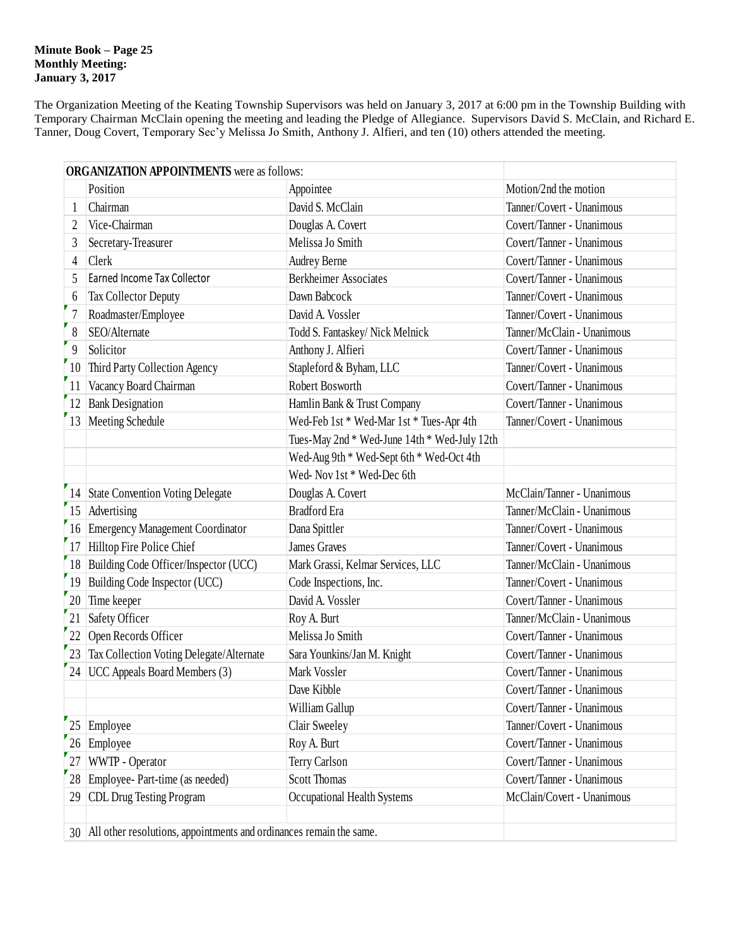#### **Minute Book – Page 25 Monthly Meeting: January 3, 2017**

The Organization Meeting of the Keating Township Supervisors was held on January 3, 2017 at 6:00 pm in the Township Building with Temporary Chairman McClain opening the meeting and leading the Pledge of Allegiance. Supervisors David S. McClain, and Richard E. Tanner, Doug Covert, Temporary Sec'y Melissa Jo Smith, Anthony J. Alfieri, and ten (10) others attended the meeting.

|                | <b>ORGANIZATION APPOINTMENTS</b> were as follows:                      |                                              |                            |  |  |
|----------------|------------------------------------------------------------------------|----------------------------------------------|----------------------------|--|--|
|                | Position                                                               | Appointee                                    | Motion/2nd the motion      |  |  |
|                | Chairman                                                               | David S. McClain                             | Tanner/Covert - Unanimous  |  |  |
| 2              | Vice-Chairman                                                          | Douglas A. Covert                            | Covert/Tanner - Unanimous  |  |  |
| 3              | Secretary-Treasurer                                                    | Melissa Jo Smith                             | Covert/Tanner - Unanimous  |  |  |
| $\overline{4}$ | Clerk                                                                  | <b>Audrey Berne</b>                          | Covert/Tanner - Unanimous  |  |  |
| 5              | Earned Income Tax Collector                                            | <b>Berkheimer Associates</b>                 | Covert/Tanner - Unanimous  |  |  |
| 6              | Tax Collector Deputy                                                   | Dawn Babcock                                 | Tanner/Covert - Unanimous  |  |  |
| F              | Roadmaster/Employee                                                    | David A. Vossler                             | Tanner/Covert - Unanimous  |  |  |
| 8              | SEO/Alternate                                                          | Todd S. Fantaskey/ Nick Melnick              | Tanner/McClain - Unanimous |  |  |
| 9              | Solicitor                                                              | Anthony J. Alfieri                           | Covert/Tanner - Unanimous  |  |  |
| 10             | Third Party Collection Agency                                          | Stapleford & Byham, LLC                      | Tanner/Covert - Unanimous  |  |  |
| 11             | Vacancy Board Chairman                                                 | Robert Bosworth                              | Covert/Tanner - Unanimous  |  |  |
| 12             | <b>Bank Designation</b>                                                | Hamlin Bank & Trust Company                  | Covert/Tanner - Unanimous  |  |  |
| 13             | Meeting Schedule                                                       | Wed-Feb 1st * Wed-Mar 1st * Tues-Apr 4th     | Tanner/Covert - Unanimous  |  |  |
|                |                                                                        | Tues-May 2nd * Wed-June 14th * Wed-July 12th |                            |  |  |
|                |                                                                        | Wed-Aug 9th * Wed-Sept 6th * Wed-Oct 4th     |                            |  |  |
|                |                                                                        | Wed-Nov1st * Wed-Dec 6th                     |                            |  |  |
|                | 14 State Convention Voting Delegate                                    | Douglas A. Covert                            | McClain/Tanner - Unanimous |  |  |
|                | 15 Advertising                                                         | <b>Bradford</b> Era                          | Tanner/McClain - Unanimous |  |  |
|                | 16 Emergency Management Coordinator                                    | Dana Spittler                                | Tanner/Covert - Unanimous  |  |  |
|                | 17 Hilltop Fire Police Chief                                           | <b>James Graves</b>                          | Tanner/Covert - Unanimous  |  |  |
|                | 18 Building Code Officer/Inspector (UCC)                               | Mark Grassi, Kelmar Services, LLC            | Tanner/McClain - Unanimous |  |  |
|                | 19 Building Code Inspector (UCC)                                       | Code Inspections, Inc.                       | Tanner/Covert - Unanimous  |  |  |
| 20             | Time keeper                                                            | David A. Vossler                             | Covert/Tanner - Unanimous  |  |  |
| 21             | Safety Officer                                                         | Roy A. Burt                                  | Tanner/McClain - Unanimous |  |  |
| 22             | Open Records Officer                                                   | Melissa Jo Smith                             | Covert/Tanner - Unanimous  |  |  |
|                | 23 Tax Collection Voting Delegate/Alternate                            | Sara Younkins/Jan M. Knight                  | Covert/Tanner - Unanimous  |  |  |
|                | 24   UCC Appeals Board Members (3)                                     | Mark Vossler                                 | Covert/Tanner - Unanimous  |  |  |
|                |                                                                        | Dave Kibble                                  | Covert/Tanner - Unanimous  |  |  |
|                |                                                                        | William Gallup                               | Covert/Tanner - Unanimous  |  |  |
|                | 25 Employee                                                            | Clair Sweeley                                | Tanner/Covert - Unanimous  |  |  |
| 26             | Employee                                                               | Roy A. Burt                                  | Covert/Tanner - Unanimous  |  |  |
| 27             | WWTP - Operator                                                        | Terry Carlson                                | Covert/Tanner - Unanimous  |  |  |
|                | 28 Employee- Part-time (as needed)                                     | <b>Scott Thomas</b>                          | Covert/Tanner - Unanimous  |  |  |
| 29             | <b>CDL Drug Testing Program</b>                                        | Occupational Health Systems                  | McClain/Covert - Unanimous |  |  |
|                |                                                                        |                                              |                            |  |  |
|                | 30 All other resolutions, appointments and ordinances remain the same. |                                              |                            |  |  |
|                |                                                                        |                                              |                            |  |  |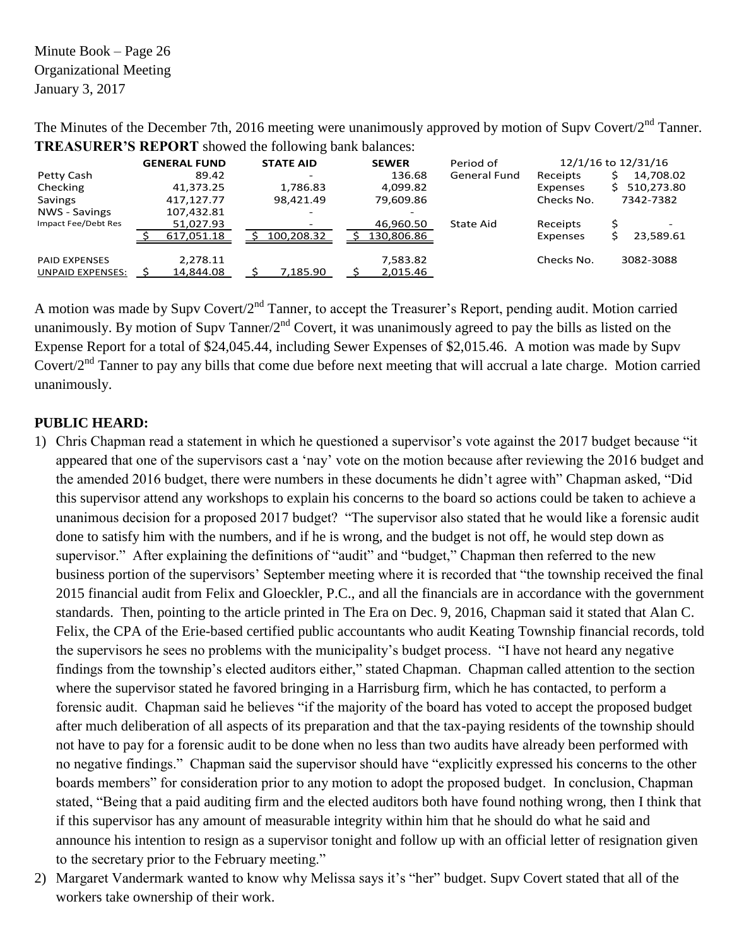Minute Book – Page 26 Organizational Meeting January 3, 2017

The Minutes of the December 7th, 2016 meeting were unanimously approved by motion of Supv Covert/2<sup>nd</sup> Tanner. **TREASURER'S REPORT** showed the following bank balances:

|                         | <b>GENERAL FUND</b> | <b>STATE AID</b> | <b>SEWER</b> | Period of    |            | 12/1/16 to 12/31/16 |
|-------------------------|---------------------|------------------|--------------|--------------|------------|---------------------|
| Petty Cash              | 89.42               | -                | 136.68       | General Fund | Receipts   | 14,708.02           |
| Checking                | 41,373.25           | 1,786.83         | 4,099.82     |              | Expenses   | 510,273.80          |
| Savings                 | 417.127.77          | 98.421.49        | 79,609.86    |              | Checks No. | 7342-7382           |
| NWS - Savings           | 107,432.81          |                  |              |              |            |                     |
| Impact Fee/Debt Res     | 51,027.93           |                  | 46,960.50    | State Aid    | Receipts   |                     |
|                         | 617,051.18          | 100.208.32       | 130,806.86   |              | Expenses   | 23,589.61           |
| <b>PAID EXPENSES</b>    | 2,278.11            |                  | 7,583.82     |              | Checks No. | 3082-3088           |
| <b>UNPAID EXPENSES:</b> | 14,844.08           | 7,185.90         | 2,015.46     |              |            |                     |

A motion was made by Supv Covert/2<sup>nd</sup> Tanner, to accept the Treasurer's Report, pending audit. Motion carried unanimously. By motion of Supv Tanner/2<sup>nd</sup> Covert, it was unanimously agreed to pay the bills as listed on the Expense Report for a total of \$24,045.44, including Sewer Expenses of \$2,015.46. A motion was made by Supv Covert/ $2<sup>nd</sup>$  Tanner to pay any bills that come due before next meeting that will accrual a late charge. Motion carried unanimously.

# **PUBLIC HEARD:**

- 1) Chris Chapman read a statement in which he questioned a supervisor's vote against the 2017 budget because "it appeared that one of the supervisors cast a 'nay' vote on the motion because after reviewing the 2016 budget and the amended 2016 budget, there were numbers in these documents he didn't agree with" Chapman asked, "Did this supervisor attend any workshops to explain his concerns to the board so actions could be taken to achieve a unanimous decision for a proposed 2017 budget? "The supervisor also stated that he would like a forensic audit done to satisfy him with the numbers, and if he is wrong, and the budget is not off, he would step down as supervisor." After explaining the definitions of "audit" and "budget," Chapman then referred to the new business portion of the supervisors' September meeting where it is recorded that "the township received the final 2015 financial audit from Felix and Gloeckler, P.C., and all the financials are in accordance with the government standards. Then, pointing to the article printed in The Era on Dec. 9, 2016, Chapman said it stated that Alan C. Felix, the CPA of the Erie-based certified public accountants who audit Keating Township financial records, told the supervisors he sees no problems with the municipality's budget process. "I have not heard any negative findings from the township's elected auditors either," stated Chapman. Chapman called attention to the section where the supervisor stated he favored bringing in a Harrisburg firm, which he has contacted, to perform a forensic audit. Chapman said he believes "if the majority of the board has voted to accept the proposed budget after much deliberation of all aspects of its preparation and that the tax-paying residents of the township should not have to pay for a forensic audit to be done when no less than two audits have already been performed with no negative findings." Chapman said the supervisor should have "explicitly expressed his concerns to the other boards members" for consideration prior to any motion to adopt the proposed budget. In conclusion, Chapman stated, "Being that a paid auditing firm and the elected auditors both have found nothing wrong, then I think that if this supervisor has any amount of measurable integrity within him that he should do what he said and announce his intention to resign as a supervisor tonight and follow up with an official letter of resignation given to the secretary prior to the February meeting."
- 2) Margaret Vandermark wanted to know why Melissa says it's "her" budget. Supv Covert stated that all of the workers take ownership of their work.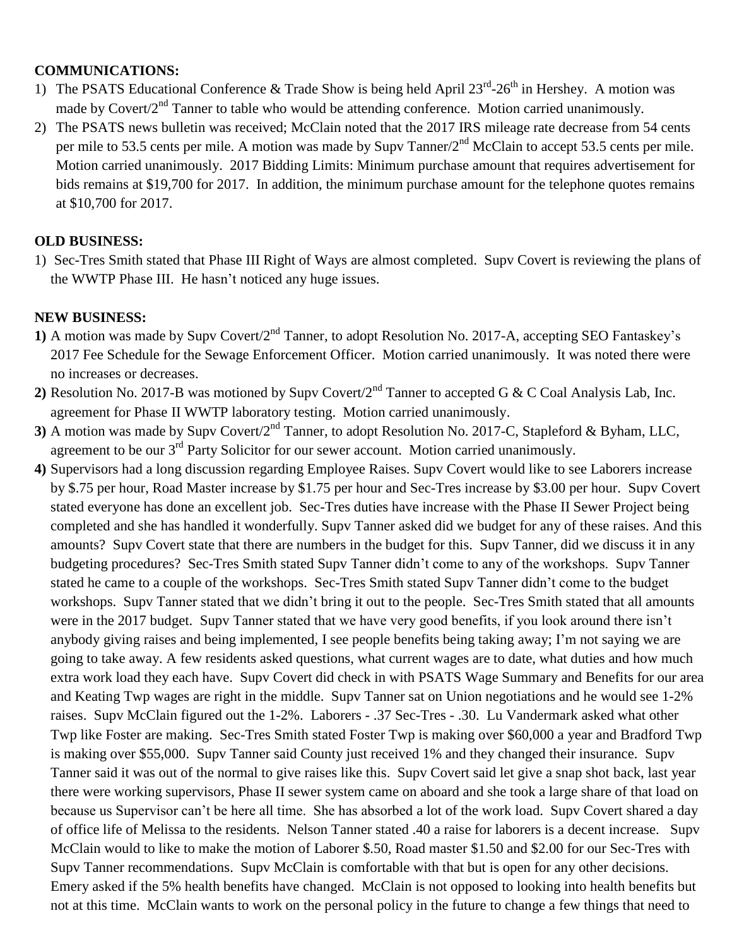### **COMMUNICATIONS:**

- 1) The PSATS Educational Conference & Trade Show is being held April  $23<sup>rd</sup> 26<sup>th</sup>$  in Hershey. A motion was made by Covert/ $2<sup>nd</sup>$  Tanner to table who would be attending conference. Motion carried unanimously.
- 2) The PSATS news bulletin was received; McClain noted that the 2017 IRS mileage rate decrease from 54 cents per mile to 53.5 cents per mile. A motion was made by Supv Tanner/2<sup>nd</sup> McClain to accept 53.5 cents per mile. Motion carried unanimously. 2017 Bidding Limits: Minimum purchase amount that requires advertisement for bids remains at \$19,700 for 2017. In addition, the minimum purchase amount for the telephone quotes remains at \$10,700 for 2017.

## **OLD BUSINESS:**

1) Sec-Tres Smith stated that Phase III Right of Ways are almost completed. Supv Covert is reviewing the plans of the WWTP Phase III. He hasn't noticed any huge issues.

## **NEW BUSINESS:**

- **1)** A motion was made by Supv Covert/2nd Tanner, to adopt Resolution No. 2017-A, accepting SEO Fantaskey's 2017 Fee Schedule for the Sewage Enforcement Officer. Motion carried unanimously. It was noted there were no increases or decreases.
- **2)** Resolution No. 2017-B was motioned by Supv Covert/2nd Tanner to accepted G & C Coal Analysis Lab, Inc. agreement for Phase II WWTP laboratory testing. Motion carried unanimously.
- **3)** A motion was made by Supv Covert/2nd Tanner, to adopt Resolution No. 2017-C, Stapleford & Byham, LLC, agreement to be our 3rd Party Solicitor for our sewer account. Motion carried unanimously.
- **4)** Supervisors had a long discussion regarding Employee Raises. Supv Covert would like to see Laborers increase by \$.75 per hour, Road Master increase by \$1.75 per hour and Sec-Tres increase by \$3.00 per hour. Supv Covert stated everyone has done an excellent job. Sec-Tres duties have increase with the Phase II Sewer Project being completed and she has handled it wonderfully. Supv Tanner asked did we budget for any of these raises. And this amounts? Supv Covert state that there are numbers in the budget for this. Supv Tanner, did we discuss it in any budgeting procedures? Sec-Tres Smith stated Supv Tanner didn't come to any of the workshops. Supv Tanner stated he came to a couple of the workshops. Sec-Tres Smith stated Supv Tanner didn't come to the budget workshops. Supv Tanner stated that we didn't bring it out to the people. Sec-Tres Smith stated that all amounts were in the 2017 budget. Supv Tanner stated that we have very good benefits, if you look around there isn't anybody giving raises and being implemented, I see people benefits being taking away; I'm not saying we are going to take away. A few residents asked questions, what current wages are to date, what duties and how much extra work load they each have. Supv Covert did check in with PSATS Wage Summary and Benefits for our area and Keating Twp wages are right in the middle. Supv Tanner sat on Union negotiations and he would see 1-2% raises. Supv McClain figured out the 1-2%. Laborers - .37 Sec-Tres - .30. Lu Vandermark asked what other Twp like Foster are making. Sec-Tres Smith stated Foster Twp is making over \$60,000 a year and Bradford Twp is making over \$55,000. Supv Tanner said County just received 1% and they changed their insurance. Supv Tanner said it was out of the normal to give raises like this. Supv Covert said let give a snap shot back, last year there were working supervisors, Phase II sewer system came on aboard and she took a large share of that load on because us Supervisor can't be here all time. She has absorbed a lot of the work load. Supv Covert shared a day of office life of Melissa to the residents. Nelson Tanner stated .40 a raise for laborers is a decent increase. Supv McClain would to like to make the motion of Laborer \$.50, Road master \$1.50 and \$2.00 for our Sec-Tres with Supv Tanner recommendations. Supv McClain is comfortable with that but is open for any other decisions. Emery asked if the 5% health benefits have changed. McClain is not opposed to looking into health benefits but not at this time. McClain wants to work on the personal policy in the future to change a few things that need to